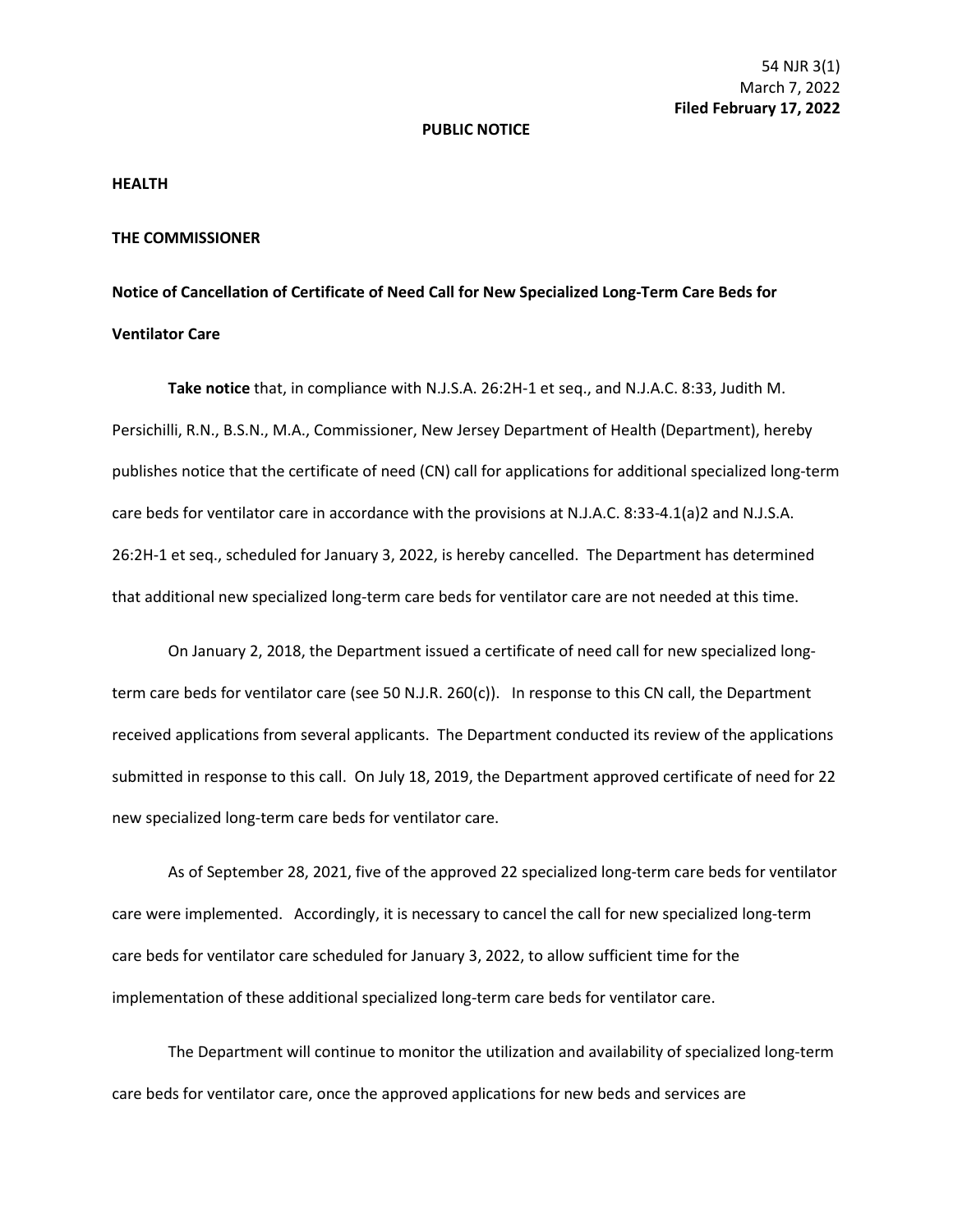## **PUBLIC NOTICE**

## **HEALTH**

## **THE COMMISSIONER**

## **Notice of Cancellation of Certificate of Need Call for New Specialized Long-Term Care Beds for Ventilator Care**

**Take notice** that, in compliance with N.J.S.A. 26:2H-1 et seq., and N.J.A.C. 8:33, Judith M. Persichilli, R.N., B.S.N., M.A., Commissioner, New Jersey Department of Health (Department), hereby publishes notice that the certificate of need (CN) call for applications for additional specialized long-term care beds for ventilator care in accordance with the provisions at N.J.A.C. 8:33-4.1(a)2 and N.J.S.A. 26:2H-1 et seq., scheduled for January 3, 2022, is hereby cancelled. The Department has determined that additional new specialized long-term care beds for ventilator care are not needed at this time.

On January 2, 2018, the Department issued a certificate of need call for new specialized longterm care beds for ventilator care (see 50 N.J.R. 260(c)). In response to this CN call, the Department received applications from several applicants. The Department conducted its review of the applications submitted in response to this call. On July 18, 2019, the Department approved certificate of need for 22 new specialized long-term care beds for ventilator care.

As of September 28, 2021, five of the approved 22 specialized long-term care beds for ventilator care were implemented. Accordingly, it is necessary to cancel the call for new specialized long-term care beds for ventilator care scheduled for January 3, 2022, to allow sufficient time for the implementation of these additional specialized long-term care beds for ventilator care.

The Department will continue to monitor the utilization and availability of specialized long-term care beds for ventilator care, once the approved applications for new beds and services are